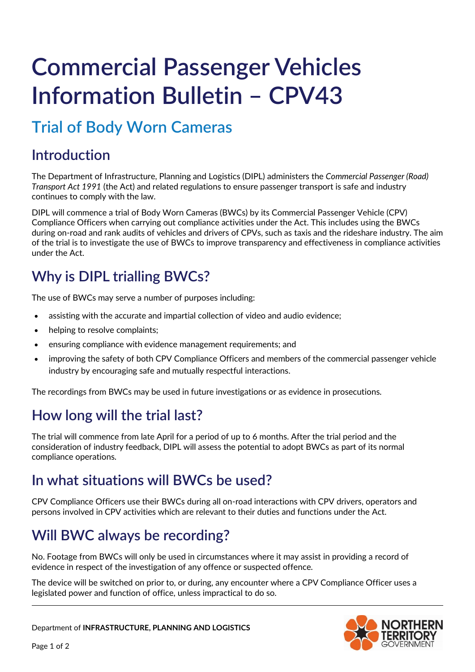# **Commercial Passenger Vehicles Information Bulletin – CPV43**

# **Trial of Body Worn Cameras**

#### **Introduction**

The Department of Infrastructure, Planning and Logistics (DIPL) administers the *Commercial Passenger (Road) Transport Act 1991* (the Act) and related regulations to ensure passenger transport is safe and industry continues to comply with the law.

DIPL will commence a trial of Body Worn Cameras (BWCs) by its Commercial Passenger Vehicle (CPV) Compliance Officers when carrying out compliance activities under the Act. This includes using the BWCs during on-road and rank audits of vehicles and drivers of CPVs, such as taxis and the rideshare industry. The aim of the trial is to investigate the use of BWCs to improve transparency and effectiveness in compliance activities under the Act.

# **Why is DIPL trialling BWCs?**

The use of BWCs may serve a number of purposes including:

- assisting with the accurate and impartial collection of video and audio evidence;
- helping to resolve complaints;
- ensuring compliance with evidence management requirements; and
- improving the safety of both CPV Compliance Officers and members of the commercial passenger vehicle industry by encouraging safe and mutually respectful interactions.

The recordings from BWCs may be used in future investigations or as evidence in prosecutions.

### **How long will the trial last?**

The trial will commence from late April for a period of up to 6 months. After the trial period and the consideration of industry feedback, DIPL will assess the potential to adopt BWCs as part of its normal compliance operations.

#### **In what situations will BWCs be used?**

CPV Compliance Officers use their BWCs during all on-road interactions with CPV drivers, operators and persons involved in CPV activities which are relevant to their duties and functions under the Act.

# **Will BWC always be recording?**

No. Footage from BWCs will only be used in circumstances where it may assist in providing a record of evidence in respect of the investigation of any offence or suspected offence.

The device will be switched on prior to, or during, any encounter where a CPV Compliance Officer uses a legislated power and function of office, unless impractical to do so.